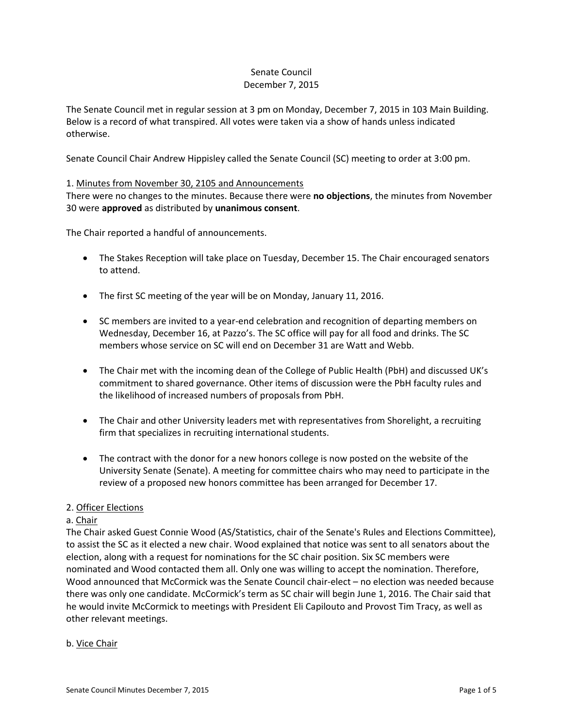#### Senate Council December 7, 2015

The Senate Council met in regular session at 3 pm on Monday, December 7, 2015 in 103 Main Building. Below is a record of what transpired. All votes were taken via a show of hands unless indicated otherwise.

Senate Council Chair Andrew Hippisley called the Senate Council (SC) meeting to order at 3:00 pm.

## 1. Minutes from November 30, 2105 and Announcements

There were no changes to the minutes. Because there were **no objections**, the minutes from November 30 were **approved** as distributed by **unanimous consent**.

The Chair reported a handful of announcements.

- The Stakes Reception will take place on Tuesday, December 15. The Chair encouraged senators to attend.
- The first SC meeting of the year will be on Monday, January 11, 2016.
- SC members are invited to a year-end celebration and recognition of departing members on Wednesday, December 16, at Pazzo's. The SC office will pay for all food and drinks. The SC members whose service on SC will end on December 31 are Watt and Webb.
- The Chair met with the incoming dean of the College of Public Health (PbH) and discussed UK's commitment to shared governance. Other items of discussion were the PbH faculty rules and the likelihood of increased numbers of proposals from PbH.
- The Chair and other University leaders met with representatives from Shorelight, a recruiting firm that specializes in recruiting international students.
- The contract with the donor for a new honors college is now posted on the website of the University Senate (Senate). A meeting for committee chairs who may need to participate in the review of a proposed new honors committee has been arranged for December 17.

## 2. Officer Elections

## a. Chair

The Chair asked Guest Connie Wood (AS/Statistics, chair of the Senate's Rules and Elections Committee), to assist the SC as it elected a new chair. Wood explained that notice was sent to all senators about the election, along with a request for nominations for the SC chair position. Six SC members were nominated and Wood contacted them all. Only one was willing to accept the nomination. Therefore, Wood announced that McCormick was the Senate Council chair-elect – no election was needed because there was only one candidate. McCormick's term as SC chair will begin June 1, 2016. The Chair said that he would invite McCormick to meetings with President Eli Capilouto and Provost Tim Tracy, as well as other relevant meetings.

## b. Vice Chair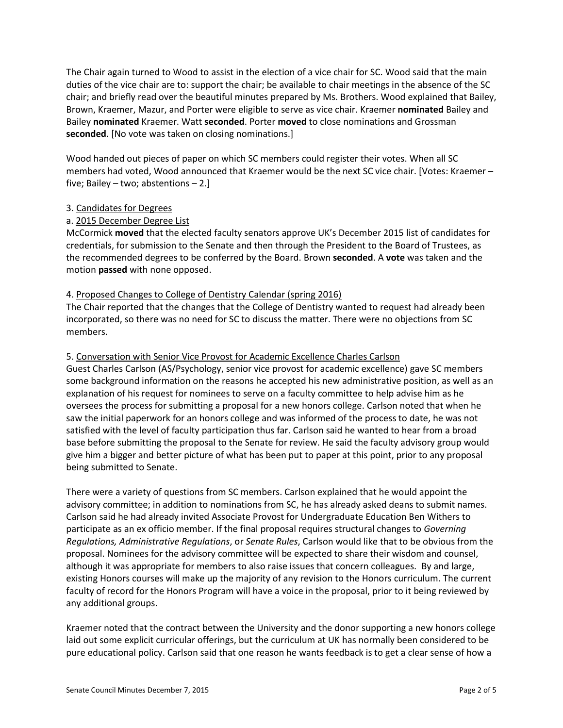The Chair again turned to Wood to assist in the election of a vice chair for SC. Wood said that the main duties of the vice chair are to: support the chair; be available to chair meetings in the absence of the SC chair; and briefly read over the beautiful minutes prepared by Ms. Brothers. Wood explained that Bailey, Brown, Kraemer, Mazur, and Porter were eligible to serve as vice chair. Kraemer **nominated** Bailey and Bailey **nominated** Kraemer. Watt **seconded**. Porter **moved** to close nominations and Grossman **seconded**. [No vote was taken on closing nominations.]

Wood handed out pieces of paper on which SC members could register their votes. When all SC members had voted, Wood announced that Kraemer would be the next SC vice chair. [Votes: Kraemer – five; Bailey – two; abstentions – 2.]

## 3. Candidates for Degrees

## a. 2015 December Degree List

McCormick **moved** that the elected faculty senators approve UK's December 2015 list of candidates for credentials, for submission to the Senate and then through the President to the Board of Trustees, as the recommended degrees to be conferred by the Board. Brown **seconded**. A **vote** was taken and the motion **passed** with none opposed.

## 4. Proposed Changes to College of Dentistry Calendar (spring 2016)

The Chair reported that the changes that the College of Dentistry wanted to request had already been incorporated, so there was no need for SC to discuss the matter. There were no objections from SC members.

#### 5. Conversation with Senior Vice Provost for Academic Excellence Charles Carlson

Guest Charles Carlson (AS/Psychology, senior vice provost for academic excellence) gave SC members some background information on the reasons he accepted his new administrative position, as well as an explanation of his request for nominees to serve on a faculty committee to help advise him as he oversees the process for submitting a proposal for a new honors college. Carlson noted that when he saw the initial paperwork for an honors college and was informed of the process to date, he was not satisfied with the level of faculty participation thus far. Carlson said he wanted to hear from a broad base before submitting the proposal to the Senate for review. He said the faculty advisory group would give him a bigger and better picture of what has been put to paper at this point, prior to any proposal being submitted to Senate.

There were a variety of questions from SC members. Carlson explained that he would appoint the advisory committee; in addition to nominations from SC, he has already asked deans to submit names. Carlson said he had already invited Associate Provost for Undergraduate Education Ben Withers to participate as an ex officio member. If the final proposal requires structural changes to *Governing Regulations, Administrative Regulations*, or *Senate Rules*, Carlson would like that to be obvious from the proposal. Nominees for the advisory committee will be expected to share their wisdom and counsel, although it was appropriate for members to also raise issues that concern colleagues. By and large, existing Honors courses will make up the majority of any revision to the Honors curriculum. The current faculty of record for the Honors Program will have a voice in the proposal, prior to it being reviewed by any additional groups.

Kraemer noted that the contract between the University and the donor supporting a new honors college laid out some explicit curricular offerings, but the curriculum at UK has normally been considered to be pure educational policy. Carlson said that one reason he wants feedback is to get a clear sense of how a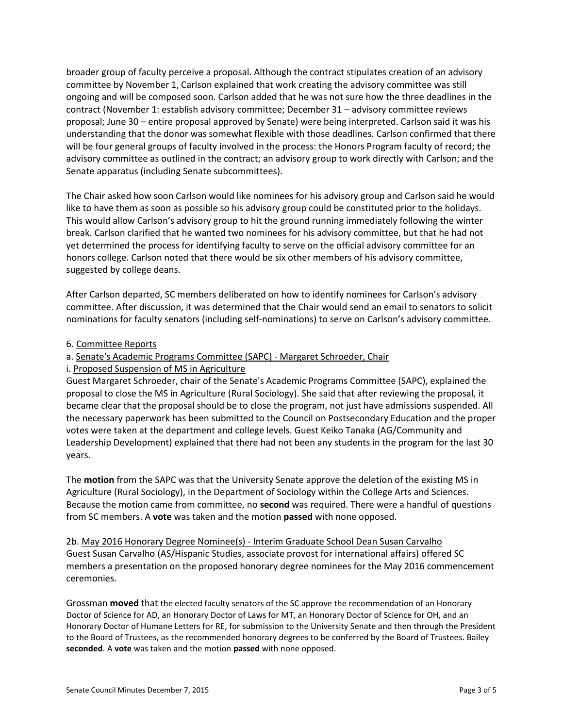broader group of faculty perceive a proposal. Although the contract stipulates creation of an advisory committee by November 1, Carlson explained that work creating the advisory committee was still ongoing and will be composed soon. Carlson added that he was not sure how the three deadlines in the contract (November 1: establish advisory committee; December 31 – advisory committee reviews proposal; June 30 – entire proposal approved by Senate) were being interpreted. Carlson said it was his understanding that the donor was somewhat flexible with those deadlines. Carlson confirmed that there will be four general groups of faculty involved in the process: the Honors Program faculty of record; the advisory committee as outlined in the contract; an advisory group to work directly with Carlson; and the Senate apparatus (including Senate subcommittees).

The Chair asked how soon Carlson would like nominees for his advisory group and Carlson said he would like to have them as soon as possible so his advisory group could be constituted prior to the holidays. This would allow Carlson's advisory group to hit the ground running immediately following the winter break. Carlson clarified that he wanted two nominees for his advisory committee, but that he had not yet determined the process for identifying faculty to serve on the official advisory committee for an honors college. Carlson noted that there would be six other members of his advisory committee, suggested by college deans.

After Carlson departed, SC members deliberated on how to identify nominees for Carlson's advisory committee. After discussion, it was determined that the Chair would send an email to senators to solicit nominations for faculty senators (including self-nominations) to serve on Carlson's advisory committee.

- 6. Committee Reports
- a. Senate's Academic Programs Committee (SAPC) Margaret Schroeder, Chair
- i. Proposed Suspension of MS in Agriculture

Guest Margaret Schroeder, chair of the Senate's Academic Programs Committee (SAPC), explained the proposal to close the MS in Agriculture (Rural Sociology). She said that after reviewing the proposal, it became clear that the proposal should be to close the program, not just have admissions suspended. All the necessary paperwork has been submitted to the Council on Postsecondary Education and the proper votes were taken at the department and college levels. Guest Keiko Tanaka (AG/Community and Leadership Development) explained that there had not been any students in the program for the last 30 years.

The **motion** from the SAPC was that the University Senate approve the deletion of the existing MS in Agriculture (Rural Sociology), in the Department of Sociology within the College Arts and Sciences. Because the motion came from committee, no **second** was required. There were a handful of questions from SC members. A **vote** was taken and the motion **passed** with none opposed.

2b. May 2016 Honorary Degree Nominee(s) - Interim Graduate School Dean Susan Carvalho Guest Susan Carvalho (AS/Hispanic Studies, associate provost for international affairs) offered SC members a presentation on the proposed honorary degree nominees for the May 2016 commencement ceremonies.

Grossman **moved** that the elected faculty senators of the SC approve the recommendation of an Honorary Doctor of Science for AD, an Honorary Doctor of Laws for MT, an Honorary Doctor of Science for OH, and an Honorary Doctor of Humane Letters for RE, for submission to the University Senate and then through the President to the Board of Trustees, as the recommended honorary degrees to be conferred by the Board of Trustees. Bailey **seconded**. A **vote** was taken and the motion **passed** with none opposed.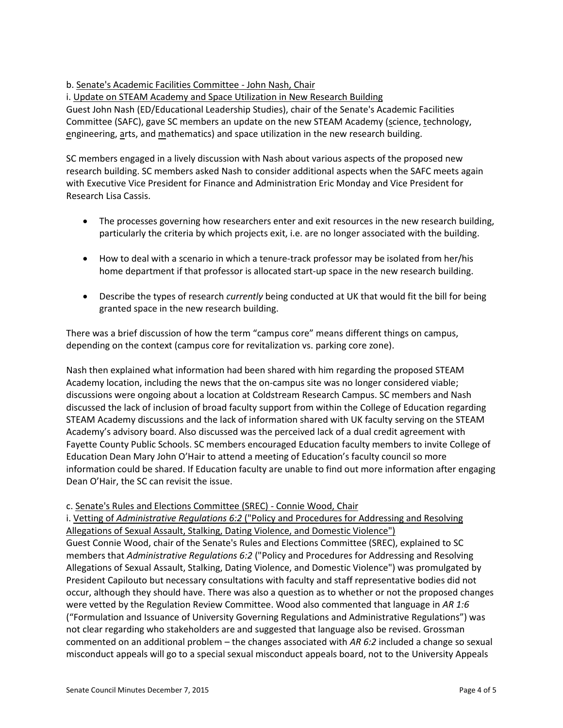# b. Senate's Academic Facilities Committee - John Nash, Chair

i. Update on STEAM Academy and Space Utilization in New Research Building

Guest John Nash (ED/Educational Leadership Studies), chair of the Senate's Academic Facilities Committee (SAFC), gave SC members an update on the new STEAM Academy (science, technology, engineering, arts, and mathematics) and space utilization in the new research building.

SC members engaged in a lively discussion with Nash about various aspects of the proposed new research building. SC members asked Nash to consider additional aspects when the SAFC meets again with Executive Vice President for Finance and Administration Eric Monday and Vice President for Research Lisa Cassis.

- The processes governing how researchers enter and exit resources in the new research building, particularly the criteria by which projects exit, i.e. are no longer associated with the building.
- How to deal with a scenario in which a tenure-track professor may be isolated from her/his home department if that professor is allocated start-up space in the new research building.
- Describe the types of research *currently* being conducted at UK that would fit the bill for being granted space in the new research building.

There was a brief discussion of how the term "campus core" means different things on campus, depending on the context (campus core for revitalization vs. parking core zone).

Nash then explained what information had been shared with him regarding the proposed STEAM Academy location, including the news that the on-campus site was no longer considered viable; discussions were ongoing about a location at Coldstream Research Campus. SC members and Nash discussed the lack of inclusion of broad faculty support from within the College of Education regarding STEAM Academy discussions and the lack of information shared with UK faculty serving on the STEAM Academy's advisory board. Also discussed was the perceived lack of a dual credit agreement with Fayette County Public Schools. SC members encouraged Education faculty members to invite College of Education Dean Mary John O'Hair to attend a meeting of Education's faculty council so more information could be shared. If Education faculty are unable to find out more information after engaging Dean O'Hair, the SC can revisit the issue.

## c. Senate's Rules and Elections Committee (SREC) - Connie Wood, Chair

i. Vetting of *Administrative Regulations 6:2* ("Policy and Procedures for Addressing and Resolving Allegations of Sexual Assault, Stalking, Dating Violence, and Domestic Violence") Guest Connie Wood, chair of the Senate's Rules and Elections Committee (SREC), explained to SC members that *Administrative Regulations 6:2* ("Policy and Procedures for Addressing and Resolving Allegations of Sexual Assault, Stalking, Dating Violence, and Domestic Violence") was promulgated by President Capilouto but necessary consultations with faculty and staff representative bodies did not occur, although they should have. There was also a question as to whether or not the proposed changes were vetted by the Regulation Review Committee. Wood also commented that language in *AR 1:6* ("Formulation and Issuance of University Governing Regulations and Administrative Regulations") was not clear regarding who stakeholders are and suggested that language also be revised. Grossman commented on an additional problem – the changes associated with *AR 6:2* included a change so sexual misconduct appeals will go to a special sexual misconduct appeals board, not to the University Appeals